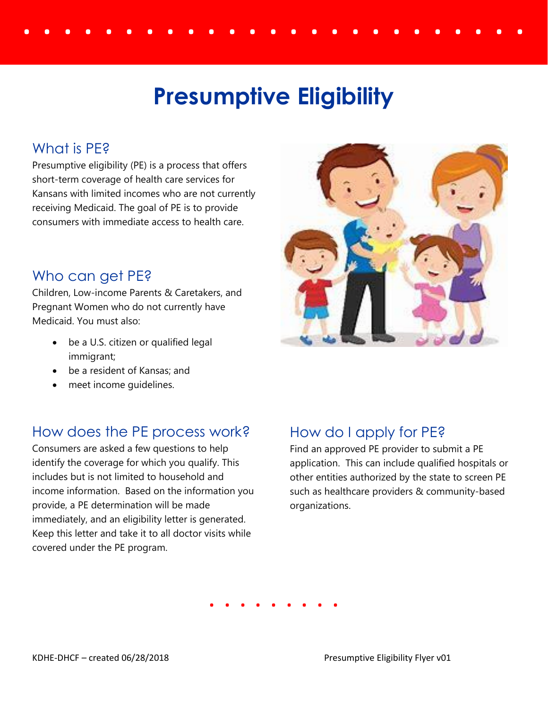# . . . . . . . . . . . . . . . . . . . . . . **Presumptive Eligibility**

## What is PF<sub>2</sub>

Presumptive eligibility (PE) is a process that offers short-term coverage of health care services for Kansans with limited incomes who are not currently receiving Medicaid. The goal of PE is to provide consumers with immediate access to health care.

#### Who can get PE?

Children, Low-income Parents & Caretakers, and Pregnant Women who do not currently have Medicaid. You must also:

- be a U.S. citizen or qualified legal immigrant;
- be a resident of Kansas; and
- meet income guidelines.

### How does the PE process work?

Consumers are asked a few questions to help identify the coverage for which you qualify. This includes but is not limited to household and income information. Based on the information you provide, a PE determination will be made immediately, and an eligibility letter is generated. Keep this letter and take it to all doctor visits while covered under the PE program.



## How do I apply for PE?

Find an approved PE provider to submit a PE application. This can include qualified hospitals or other entities authorized by the state to screen PE such as healthcare providers & community-based organizations.

**. . . . . . . . .**